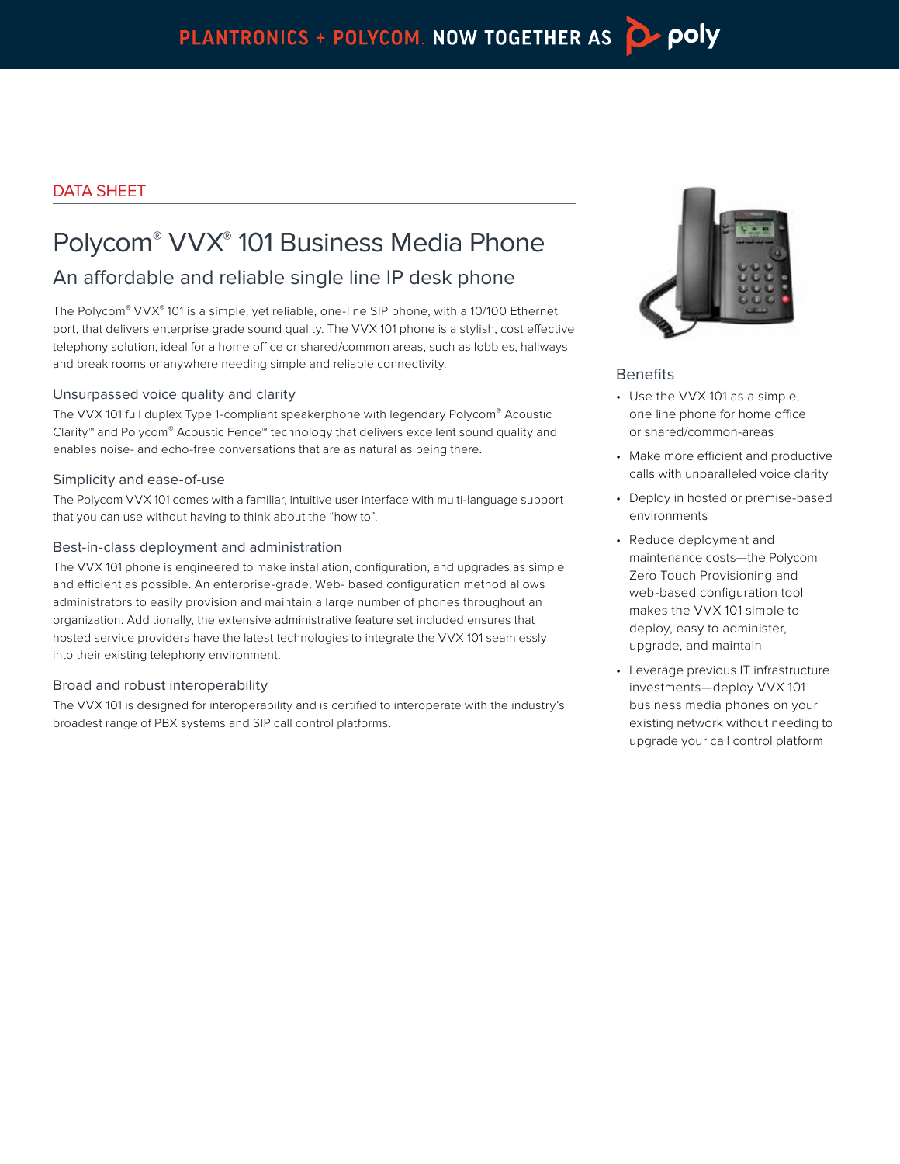# DATA SHEET

# Polycom® VVX® 101 Business Media Phone

# An affordable and reliable single line IP desk phone

The Polycom® VVX® 101 is a simple, yet reliable, one-line SIP phone, with a 10/100 Ethernet port, that delivers enterprise grade sound quality. The VVX 101 phone is a stylish, cost effective telephony solution, ideal for a home office or shared/common areas, such as lobbies, hallways and break rooms or anywhere needing simple and reliable connectivity.

## Unsurpassed voice quality and clarity

The VVX 101 full duplex Type 1-compliant speakerphone with legendary Polycom® Acoustic Clarity™ and Polycom® Acoustic Fence™ technology that delivers excellent sound quality and enables noise- and echo-free conversations that are as natural as being there.

#### Simplicity and ease-of-use

The Polycom VVX 101 comes with a familiar, intuitive user interface with multi-language support that you can use without having to think about the "how to".

#### Best-in-class deployment and administration

The VVX 101 phone is engineered to make installation, configuration, and upgrades as simple and efficient as possible. An enterprise-grade, Web- based configuration method allows administrators to easily provision and maintain a large number of phones throughout an organization. Additionally, the extensive administrative feature set included ensures that hosted service providers have the latest technologies to integrate the VVX 101 seamlessly into their existing telephony environment.

## Broad and robust interoperability

The VVX 101 is designed for interoperability and is certified to interoperate with the industry's broadest range of PBX systems and SIP call control platforms.



# Benefits

- Use the VVX 101 as a simple, one line phone for home office or shared/common-areas
- Make more efficient and productive calls with unparalleled voice clarity
- Deploy in hosted or premise-based environments
- Reduce deployment and maintenance costs—the Polycom Zero Touch Provisioning and web-based configuration tool makes the VVX 101 simple to deploy, easy to administer, upgrade, and maintain
- Leverage previous IT infrastructure investments—deploy VVX 101 business media phones on your existing network without needing to upgrade your call control platform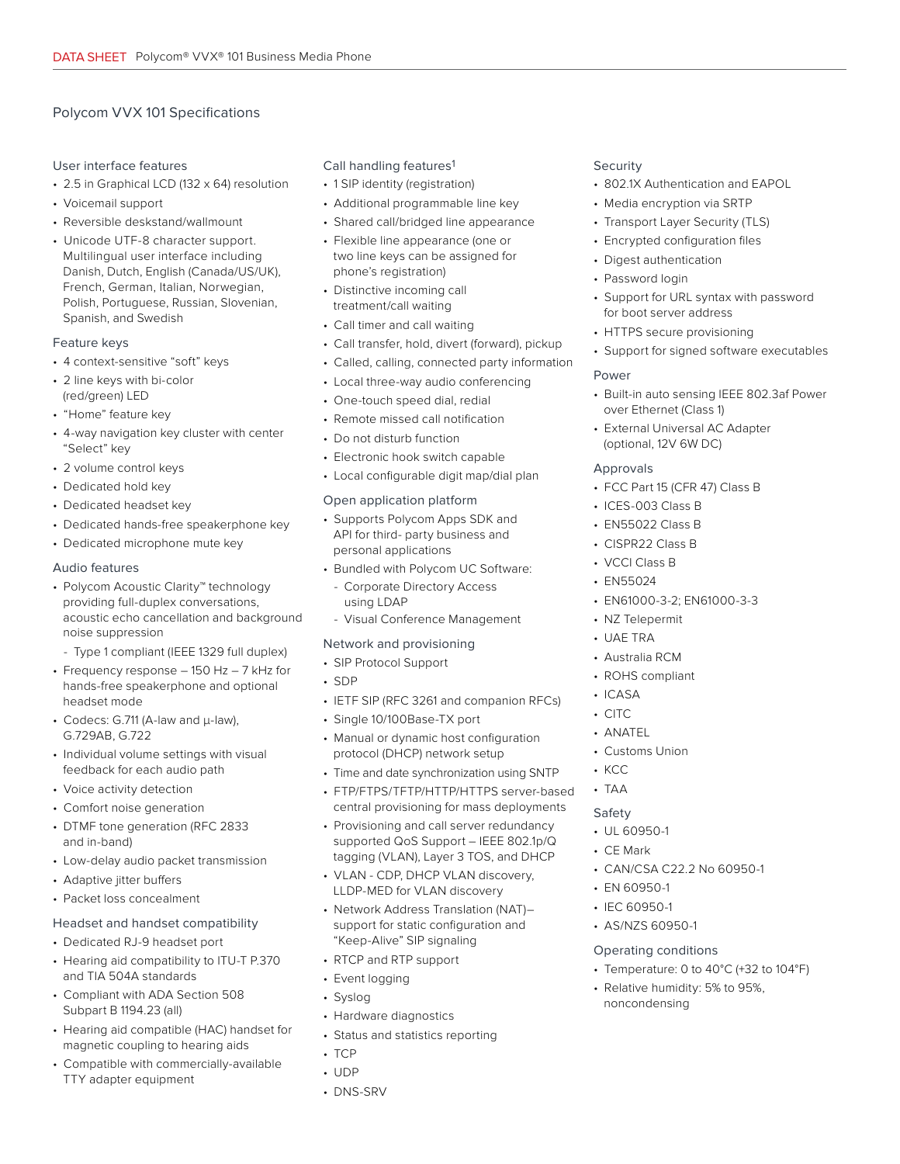# Polycom VVX 101 Specifications

#### User interface features

- 2.5 in Graphical LCD (132 x 64) resolution
- Voicemail support
- Reversible deskstand/wallmount
- Unicode UTF-8 character support. Multilingual user interface including Danish, Dutch, English (Canada/US/UK), French, German, Italian, Norwegian, Polish, Portuguese, Russian, Slovenian, Spanish, and Swedish

#### Feature keys

- 4 context-sensitive "soft" keys
- 2 line keys with bi-color (red/green) LED
- "Home" feature key
- 4-way navigation key cluster with center "Select" key
- 2 volume control keys
- Dedicated hold key
- Dedicated headset key
- Dedicated hands-free speakerphone key
- Dedicated microphone mute key

#### Audio features

- Polycom Acoustic Clarity™ technology providing full-duplex conversations, acoustic echo cancellation and background noise suppression
- Type 1 compliant (IEEE 1329 full duplex)
- Frequency response 150 Hz 7 kHz for hands-free speakerphone and optional headset mode
- Codecs: G.711 (A-law and μ-law), G.729AB, G.722
- Individual volume settings with visual feedback for each audio path
- Voice activity detection
- Comfort noise generation
- DTMF tone generation (RFC 2833 and in-band)
- Low-delay audio packet transmission
- Adaptive jitter buffers
- Packet loss concealment

#### Headset and handset compatibility

- Dedicated RJ-9 headset port
- Hearing aid compatibility to ITU-T P.370 and TIA 504A standards
- Compliant with ADA Section 508 Subpart B 1194.23 (all)
- Hearing aid compatible (HAC) handset for magnetic coupling to hearing aids
- Compatible with commercially-available TTY adapter equipment

#### Call handling features<sup>1</sup>

- 1 SIP identity (registration)
- Additional programmable line key
- Shared call/bridged line appearance
- Flexible line appearance (one or two line keys can be assigned for phone's registration)
- Distinctive incoming call treatment/call waiting
- Call timer and call waiting
- Call transfer, hold, divert (forward), pickup
- Called, calling, connected party information
- Local three-way audio conferencing
- One-touch speed dial, redial
- Remote missed call notification
- Do not disturb function
- Electronic hook switch capable
- Local configurable digit map/dial plan

#### Open application platform

- Supports Polycom Apps SDK and API for third- party business and personal applications
- Bundled with Polycom UC Software:
- Corporate Directory Access using LDAP
- Visual Conference Management

#### Network and provisioning

- SIP Protocol Support
- SDP
- IETF SIP (RFC 3261 and companion RFCs)
- Single 10/100Base-TX port
- Manual or dynamic host configuration protocol (DHCP) network setup
- Time and date synchronization using SNTP
- FTP/FTPS/TFTP/HTTP/HTTPS server-based central provisioning for mass deployments
- Provisioning and call server redundancy supported QoS Support – IEEE 802.1p/Q tagging (VLAN), Layer 3 TOS, and DHCP
- VLAN CDP, DHCP VLAN discovery, LLDP-MED for VLAN discovery
- Network Address Translation (NAT)– support for static configuration and "Keep-Alive" SIP signaling
- RTCP and RTP support
- Event logging
- Syslog
- Hardware diagnostics
- Status and statistics reporting
- TCP
- UDP
- DNS-SRV

#### Security

- 802.1X Authentication and EAPOL
- Media encryption via SRTP
- Transport Layer Security (TLS)
- Encrypted configuration files
- Digest authentication
- Password login
- Support for URL syntax with password for boot server address
- HTTPS secure provisioning
- Support for signed software executables

#### Power

- Built-in auto sensing IEEE 802.3af Power over Ethernet (Class 1)
- External Universal AC Adapter (optional, 12V 6W DC)

#### Approvals

- FCC Part 15 (CFR 47) Class B
- ICES-003 Class B
- EN55022 Class B
- CISPR22 Class B
- VCCI Class B
- EN55024
- EN61000-3-2; EN61000-3-3

• CAN/CSA C22.2 No 60950-1

• Relative humidity: 5% to 95%,

noncondensing

• Temperature: 0 to 40°C (+32 to 104°F)

- NZ Telepermit
- UAE TRA
- Australia RCM
- ROHS compliant
- ICASA • CITC

• ANATEL • Customs Union

• EN 60950-1 • IEC 60950-1 • AS/NZS 60950-1 Operating conditions

• KCC • TAA Safety • UL 60950-1 • CE Mark